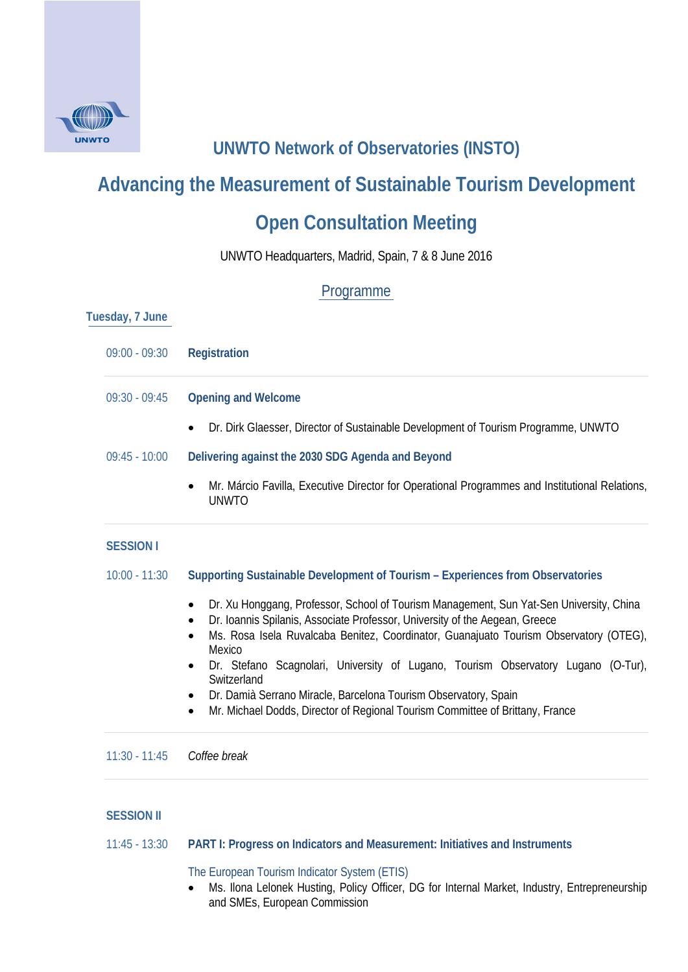

## **UNWTO Network of Observatories (INSTO)**

# **Advancing the Measurement of Sustainable Tourism Development**

# **Open Consultation Meeting**

UNWTO Headquarters, Madrid, Spain, 7 & 8 June 2016

## Programme

### **Tuesday, 7 June**

| $09:00 - 09:30$  | Registration                                                                                                                                                                                                                                                                                                                                                                                                                                                                                                                                        |
|------------------|-----------------------------------------------------------------------------------------------------------------------------------------------------------------------------------------------------------------------------------------------------------------------------------------------------------------------------------------------------------------------------------------------------------------------------------------------------------------------------------------------------------------------------------------------------|
| $09:30 - 09:45$  | <b>Opening and Welcome</b>                                                                                                                                                                                                                                                                                                                                                                                                                                                                                                                          |
|                  | Dr. Dirk Glaesser, Director of Sustainable Development of Tourism Programme, UNWTO                                                                                                                                                                                                                                                                                                                                                                                                                                                                  |
| $09:45 - 10:00$  | Delivering against the 2030 SDG Agenda and Beyond                                                                                                                                                                                                                                                                                                                                                                                                                                                                                                   |
|                  | Mr. Márcio Favilla, Executive Director for Operational Programmes and Institutional Relations,<br><b>UNWTO</b>                                                                                                                                                                                                                                                                                                                                                                                                                                      |
| <b>SESSION I</b> |                                                                                                                                                                                                                                                                                                                                                                                                                                                                                                                                                     |
| $10:00 - 11:30$  | Supporting Sustainable Development of Tourism - Experiences from Observatories                                                                                                                                                                                                                                                                                                                                                                                                                                                                      |
|                  | Dr. Xu Honggang, Professor, School of Tourism Management, Sun Yat-Sen University, China<br>Dr. Ioannis Spilanis, Associate Professor, University of the Aegean, Greece<br>Ms. Rosa Isela Ruvalcaba Benitez, Coordinator, Guanajuato Tourism Observatory (OTEG),<br>٠<br>Mexico<br>Dr. Stefano Scagnolari, University of Lugano, Tourism Observatory Lugano (O-Tur),<br>Switzerland<br>Dr. Damià Serrano Miracle, Barcelona Tourism Observatory, Spain<br>Mr. Michael Dodds, Director of Regional Tourism Committee of Brittany, France<br>$\bullet$ |
| $11:30 - 11:45$  | Coffee break                                                                                                                                                                                                                                                                                                                                                                                                                                                                                                                                        |

#### **SESSION II**

- 11:45 13:30 **PART I: Progress on Indicators and Measurement: Initiatives and Instruments**
	- The European Tourism Indicator System (ETIS)
	- Ms. Ilona Lelonek Husting, Policy Officer, DG for Internal Market, Industry, Entrepreneurship and SMEs, European Commission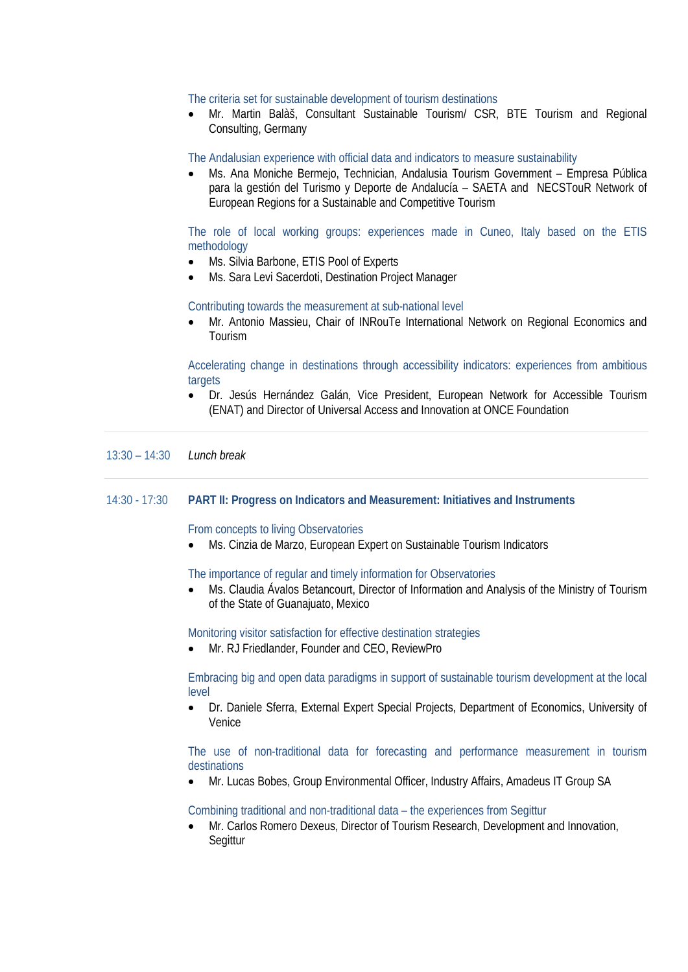#### The criteria set for sustainable development of tourism destinations

• Mr. Martin Balàš, Consultant Sustainable Tourism/ CSR, BTE Tourism and Regional Consulting, Germany

The Andalusian experience with official data and indicators to measure sustainability

• Ms. Ana Moniche Bermejo, Technician, Andalusia Tourism Government – Empresa Pública para la gestión del Turismo y Deporte de Andalucía – SAETA and NECSTouR Network of European Regions for a Sustainable and Competitive Tourism

The role of local working groups: experiences made in Cuneo, Italy based on the ETIS methodology

- Ms. Silvia Barbone, ETIS Pool of Experts
- Ms. Sara Levi Sacerdoti, Destination Project Manager

#### Contributing towards the measurement at sub-national level

• Mr. Antonio Massieu, Chair of INRouTe International Network on Regional Economics and Tourism

#### Accelerating change in destinations through accessibility indicators: experiences from ambitious targets

• Dr. Jesús Hernández Galán, Vice President, European Network for Accessible Tourism (ENAT) and Director of Universal Access and Innovation at ONCE Foundation

#### 13:30 – 14:30 *Lunch break*

#### 14:30 - 17:30 **PART II: Progress on Indicators and Measurement: Initiatives and Instruments**

#### From concepts to living Observatories

• Ms. Cinzia de Marzo, European Expert on Sustainable Tourism Indicators

#### The importance of regular and timely information for Observatories

• Ms. Claudia Ávalos Betancourt, Director of Information and Analysis of the Ministry of Tourism of the State of Guanajuato, Mexico

Monitoring visitor satisfaction for effective destination strategies

• Mr. RJ Friedlander, Founder and CEO, ReviewPro

Embracing big and open data paradigms in support of sustainable tourism development at the local level

• Dr. Daniele Sferra, External Expert Special Projects, Department of Economics, University of Venice

The use of non-traditional data for forecasting and performance measurement in tourism destinations

• Mr. Lucas Bobes, Group Environmental Officer, Industry Affairs, Amadeus IT Group SA

Combining traditional and non-traditional data – the experiences from Segittur

• Mr. Carlos Romero Dexeus, Director of Tourism Research, Development and Innovation, **Segittur**